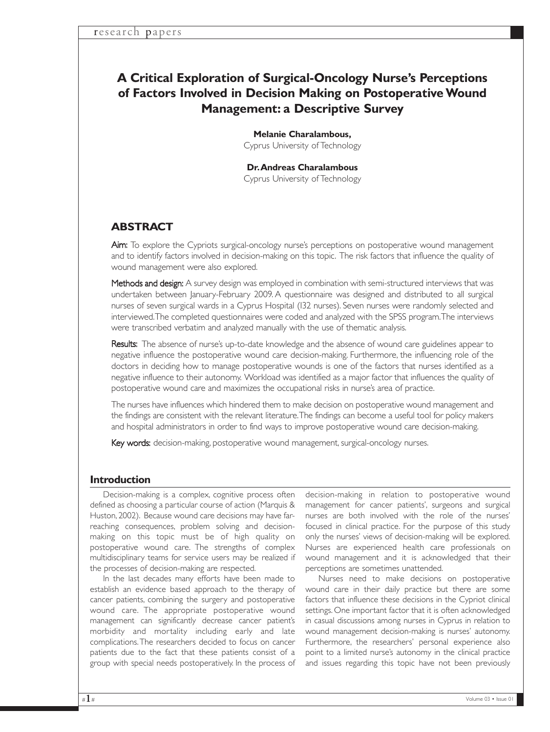# **A Critical Exploration of Surgical-Oncology Nurse's Perceptions of Factors Involved in Decision Making on Postoperative Wound Management: a Descriptive Survey**

**Melanie Charalambous,** Cyprus University of Technology

**Dr.Andreas Charalambous** Cyprus University of Technology

## **ABSTRACT**

Aim: To explore the Cypriots surgical-oncology nurse's perceptions on postoperative wound management and to identify factors involved in decision-making on this topic. The risk factors that influence the quality of wound management were also explored.

Methods and design: A survey design was employed in combination with semi-structured interviews that was undertaken between January-February 2009. A questionnaire was designed and distributed to all surgical nurses of seven surgical wards in a Cyprus Hospital (132 nurses). Seven nurses were randomly selected and interviewed.The completed questionnaires were coded and analyzed with the SPSS program.The interviews were transcribed verbatim and analyzed manually with the use of thematic analysis.

Results: The absence of nurse's up-to-date knowledge and the absence of wound care guidelines appear to negative influence the postoperative wound care decision-making. Furthermore, the influencing role of the doctors in deciding how to manage postoperative wounds is one of the factors that nurses identified as a negative influence to their autonomy. Workload was identified as a major factor that influences the quality of postoperative wound care and maximizes the occupational risks in nurse's area of practice.

The nurses have influences which hindered them to make decision on postoperative wound management and the findings are consistent with the relevant literature.The findings can become a useful tool for policy makers and hospital administrators in order to find ways to improve postoperative wound care decision-making.

Key words: decision-making, postoperative wound management, surgical-oncology nurses.

### **Introduction**

Decision-making is a complex, cognitive process often defined as choosing a particular course of action (Marquis & Huston, 2002). Because wound care decisions may have farreaching consequences, problem solving and decisionmaking on this topic must be of high quality on postoperative wound care. The strengths of complex multidisciplinary teams for service users may be realized if the processes of decision-making are respected.

In the last decades many efforts have been made to establish an evidence based approach to the therapy of cancer patients, combining the surgery and postoperative wound care. The appropriate postoperative wound management can significantly decrease cancer patient's morbidity and mortality including early and late complications.The researchers decided to focus on cancer patients due to the fact that these patients consist of a group with special needs postoperatively. In the process of

decision-making in relation to postoperative wound management for cancer patients', surgeons and surgical nurses are both involved with the role of the nurses' focused in clinical practice. For the purpose of this study only the nurses' views of decision-making will be explored. Nurses are experienced health care professionals on wound management and it is acknowledged that their perceptions are sometimes unattended.

Nurses need to make decisions on postoperative wound care in their daily practice but there are some factors that influence these decisions in the Cypriot clinical settings. One important factor that it is often acknowledged in casual discussions among nurses in Cyprus in relation to wound management decision-making is nurses' autonomy. Furthermore, the researchers' personal experience also point to a limited nurse's autonomy in the clinical practice and issues regarding this topic have not been previously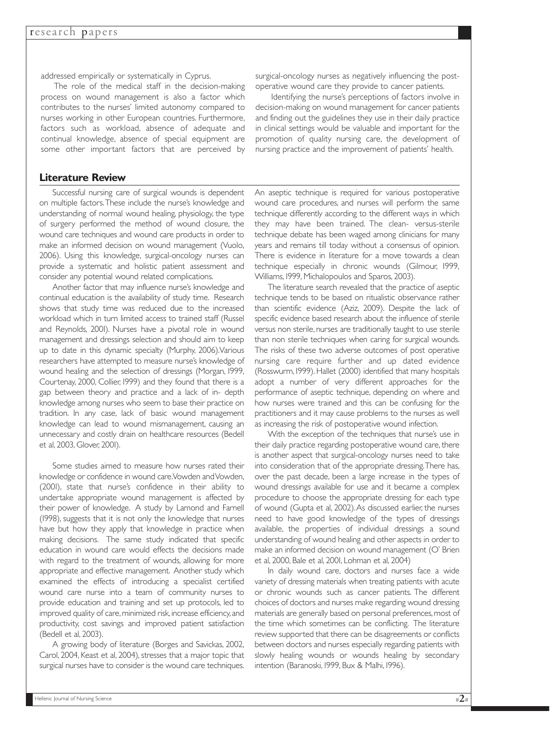addressed empirically or systematically in Cyprus.

The role of the medical staff in the decision-making process on wound management is also a factor which contributes to the nurses' limited autonomy compared to nurses working in other European countries. Furthermore, factors such as workload, absence of adequate and continual knowledge, absence of special equipment are some other important factors that are perceived by

### **Literature Review**

Successful nursing care of surgical wounds is dependent on multiple factors.These include the nurse's knowledge and understanding of normal wound healing, physiology, the type of surgery performed the method of wound closure, the wound care techniques and wound care products in order to make an informed decision on wound management (Vuolo, 2006). Using this knowledge, surgical-oncology nurses can provide a systematic and holistic patient assessment and consider any potential wound related complications.

Another factor that may influence nurse's knowledge and continual education is the availability of study time. Research shows that study time was reduced due to the increased workload which in turn limited access to trained staff (Russel and Reynolds, 2001). Nurses have a pivotal role in wound management and dressings selection and should aim to keep up to date in this dynamic specialty (Murphy, 2006).Various researchers have attempted to measure nurse's knowledge of wound healing and the selection of dressings (Morgan, 1999, Courtenay, 2000, Collier, 1999) and they found that there is a gap between theory and practice and a lack of in- depth knowledge among nurses who seem to base their practice on tradition. In any case, lack of basic wound management knowledge can lead to wound mismanagement, causing an unnecessary and costly drain on healthcare resources (Bedell et al, 2003, Glover, 2001).

Some studies aimed to measure how nurses rated their knowledge or confidence in wound care.Vowden and Vowden, (2001), state that nurse's confidence in their ability to undertake appropriate wound management is affected by their power of knowledge. A study by Lamond and Farnell (1998), suggests that it is not only the knowledge that nurses have but how they apply that knowledge in practice when making decisions. The same study indicated that specific education in wound care would effects the decisions made with regard to the treatment of wounds, allowing for more appropriate and effective management. Another study which examined the effects of introducing a specialist certified wound care nurse into a team of community nurses to provide education and training and set up protocols, led to improved quality of care, minimized risk, increase efficiency, and productivity, cost savings and improved patient satisfaction (Bedell et al, 2003).

A growing body of literature (Borges and Savickas, 2002, Carol, 2004, Keast et al, 2004), stresses that a major topic that surgical nurses have to consider is the wound care techniques.

surgical-oncology nurses as negatively influencing the postoperative wound care they provide to cancer patients.

Identifying the nurse's perceptions of factors involve in decision-making on wound management for cancer patients and finding out the guidelines they use in their daily practice in clinical settings would be valuable and important for the promotion of quality nursing care, the development of nursing practice and the improvement of patients' health.

An aseptic technique is required for various postoperative wound care procedures, and nurses will perform the same technique differently according to the different ways in which they may have been trained. The clean- versus-sterile technique debate has been waged among clinicians for many years and remains till today without a consensus of opinion. There is evidence in literature for a move towards a clean technique especially in chronic wounds (Gilmour, 1999, Williams, 1999, Michalopoulos and Sparos, 2003).

The literature search revealed that the practice of aseptic technique tends to be based on ritualistic observance rather than scientific evidence (Aziz, 2009). Despite the lack of specific evidence based research about the influence of sterile versus non sterile, nurses are traditionally taught to use sterile than non sterile techniques when caring for surgical wounds. The risks of these two adverse outcomes of post operative nursing care require further and up dated evidence (Rosswurm, 1999). Hallet (2000) identified that many hospitals adopt a number of very different approaches for the performance of aseptic technique, depending on where and how nurses were trained and this can be confusing for the practitioners and it may cause problems to the nurses as well as increasing the risk of postoperative wound infection.

With the exception of the techniques that nurse's use in their daily practice regarding postoperative wound care, there is another aspect that surgical-oncology nurses need to take into consideration that of the appropriate dressing.There has, over the past decade, been a large increase in the types of wound dressings available for use and it became a complex procedure to choose the appropriate dressing for each type of wound (Gupta et al, 2002).As discussed earlier, the nurses need to have good knowledge of the types of dressings available, the properties of individual dressings a sound understanding of wound healing and other aspects in order to make an informed decision on wound management (O' Brien et al, 2000, Bale et al, 2001, Lohman et al, 2004)

In daily wound care, doctors and nurses face a wide variety of dressing materials when treating patients with acute or chronic wounds such as cancer patients. The different choices of doctors and nurses make regarding wound dressing materials are generally based on personal preferences, most of the time which sometimes can be conflicting. The literature review supported that there can be disagreements or conflicts between doctors and nurses especially regarding patients with slowly healing wounds or wounds healing by secondary intention (Baranoski, 1999, Bux & Malhi, 1996).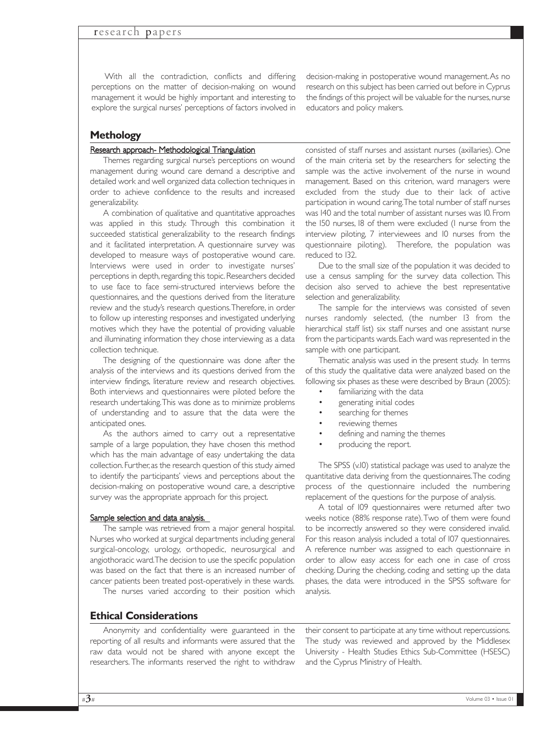With all the contradiction, conflicts and differing perceptions on the matter of decision-making on wound management it would be highly important and interesting to explore the surgical nurses' perceptions of factors involved in decision-making in postoperative wound management.As no research on this subject has been carried out before in Cyprus the findings of this project will be valuable for the nurses, nurse educators and policy makers.

### **Methology**

#### Research approach- Methodological Triangulation

Themes regarding surgical nurse's perceptions on wound management during wound care demand a descriptive and detailed work and well organized data collection techniques in order to achieve confidence to the results and increased generalizability.

A combination of qualitative and quantitative approaches was applied in this study. Through this combination it succeeded statistical generalizability to the research findings and it facilitated interpretation. A questionnaire survey was developed to measure ways of postoperative wound care. Interviews were used in order to investigate nurses' perceptions in depth, regarding this topic. Researchers decided to use face to face semi-structured interviews before the questionnaires, and the questions derived from the literature review and the study's research questions.Therefore, in order to follow up interesting responses and investigated underlying motives which they have the potential of providing valuable and illuminating information they chose interviewing as a data collection technique.

The designing of the questionnaire was done after the analysis of the interviews and its questions derived from the interview findings, literature review and research objectives. Both interviews and questionnaires were piloted before the research undertaking.This was done as to minimize problems of understanding and to assure that the data were the anticipated ones.

As the authors aimed to carry out a representative sample of a large population, they have chosen this method which has the main advantage of easy undertaking the data collection.Further,as the research question of this study aimed to identify the participants' views and perceptions about the decision-making on postoperative wound care, a descriptive survey was the appropriate approach for this project.

#### Sample selection and data analysis.

The sample was retrieved from a major general hospital. Nurses who worked at surgical departments including general surgical-oncology, urology, orthopedic, neurosurgical and angiothoracic ward.The decision to use the specific population was based on the fact that there is an increased number of cancer patients been treated post-operatively in these wards.

The nurses varied according to their position which

### **Ethical Considerations**

Anonymity and confidentiality were guaranteed in the reporting of all results and informants were assured that the raw data would not be shared with anyone except the researchers. The informants reserved the right to withdraw

consisted of staff nurses and assistant nurses (axillaries). One of the main criteria set by the researchers for selecting the sample was the active involvement of the nurse in wound management. Based on this criterion, ward managers were excluded from the study due to their lack of active participation in wound caring.The total number of staff nurses was 140 and the total number of assistant nurses was 10. From the 150 nurses, 18 of them were excluded (1 nurse from the interview piloting, 7 interviewees and 10 nurses from the questionnaire piloting). Therefore, the population was reduced to 132.

Due to the small size of the population it was decided to use a census sampling for the survey data collection. This decision also served to achieve the best representative selection and generalizability.

The sample for the interviews was consisted of seven nurses randomly selected, (the number 13 from the hierarchical staff list) six staff nurses and one assistant nurse from the participants wards.Each ward was represented in the sample with one participant.

Thematic analysis was used in the present study. In terms of this study the qualitative data were analyzed based on the following six phases as these were described by Braun (2005):

- familiarizing with the data
- generating initial codes
- searching for themes
- reviewing themes
- defining and naming the themes
- producing the report.

The SPSS (v.10) statistical package was used to analyze the quantitative data deriving from the questionnaires.The coding process of the questionnaire included the numbering replacement of the questions for the purpose of analysis.

A total of 109 questionnaires were returned after two weeks notice (88% response rate).Two of them were found to be incorrectly answered so they were considered invalid. For this reason analysis included a total of 107 questionnaires. A reference number was assigned to each questionnaire in order to allow easy access for each one in case of cross checking. During the checking, coding and setting up the data phases, the data were introduced in the SPSS software for analysis.

their consent to participate at any time without repercussions. The study was reviewed and approved by the Middlesex University - Health Studies Ethics Sub-Committee (HSESC) and the Cyprus Ministry of Health.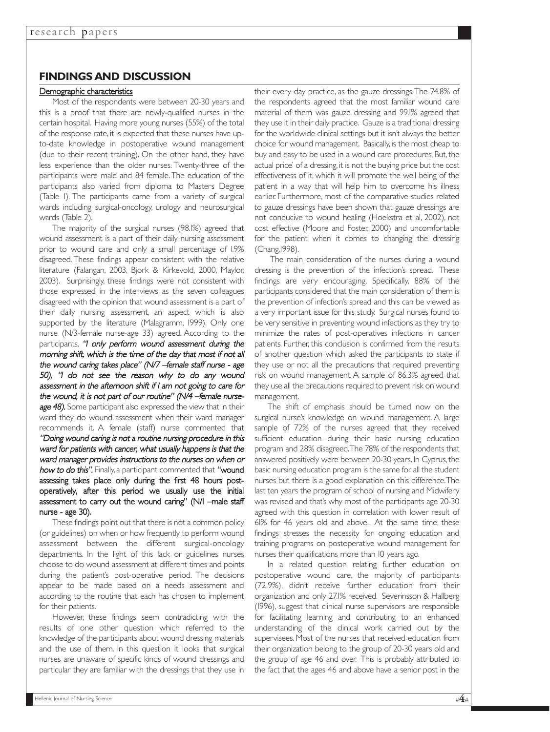### **FINDINGS AND DISCUSSION**

#### Demographic characteristics

Most of the respondents were between 20-30 years and this is a proof that there are newly-qualified nurses in the certain hospital. Having more young nurses (55%) of the total of the response rate, it is expected that these nurses have upto-date knowledge in postoperative wound management (due to their recent training). On the other hand, they have less experience than the older nurses. Twenty-three of the participants were male and 84 female.The education of the participants also varied from diploma to Masters Degree (Table 1). The participants came from a variety of surgical wards including surgical-oncology, urology and neurosurgical wards (Table 2).

The majority of the surgical nurses (98.1%) agreed that wound assessment is a part of their daily nursing assessment prior to wound care and only a small percentage of 1.9% disagreed. These findings appear consistent with the relative literature (Falangan, 2003, Bjork & Kirkevold, 2000, Maylor, 2003). Surprisingly, these findings were not consistent with those expressed in the interviews as the seven colleagues disagreed with the opinion that wound assessment is a part of their daily nursing assessment, an aspect which is also supported by the literature (Malagramm, 1999). Only one nurse (N/3-female nurse-age 33) agreed. According to the participants, "I only perform wound assessment during the morning shift, which is the time of the day that most if not all the wound caring takes place" (N/7 –female staff nurse - age 50), "I do not see the reason why to do any wound assessment in the afternoon shift if I am not going to care for the wound, it is not part of our routine" (N/4 –female nurseage 48). Some participant also expressed the view that in their ward they do wound assessment when their ward manager recommends it. A female (staff) nurse commented that "Doing wound caring is not <sup>a</sup> routine nursing procedure in this ward for patients with cancer, what usually happens is that the ward manager provides instructions to the nurses on when or how to do this". Finally, a participant commented that "wound assessing takes place only during the first 48 hours postoperatively, after this period we usually use the initial assessment to carry out the wound caring" (N/1 –male staff nurse - age 30).

These findings point out that there is not a common policy (or guidelines) on when or how frequently to perform wound assessment between the different surgical-oncology departments. In the light of this lack or guidelines nurses choose to do wound assessment at different times and points during the patient's post-operative period. The decisions appear to be made based on a needs assessment and according to the routine that each has chosen to implement for their patients.

However, these findings seem contradicting with the results of one other question which referred to the knowledge of the participants about wound dressing materials and the use of them. In this question it looks that surgical nurses are unaware of specific kinds of wound dressings and particular they are familiar with the dressings that they use in

their every day practice, as the gauze dressings.The 74.8% of the respondents agreed that the most familiar wound care material of them was gauze dressing and 99.1% agreed that they use it in their daily practice. Gauze is a traditional dressing for the worldwide clinical settings but it isn't always the better choice for wound management. Basically,is the most cheap to buy and easy to be used in a wound care procedures. But, the actual price' of a dressing, it is not the buying price but the cost effectiveness of it, which it will promote the well being of the patient in a way that will help him to overcome his illness earlier. Furthermore, most of the comparative studies related to gauze dressings have been shown that gauze dressings are not conducive to wound healing (Hoekstra et al, 2002), not cost effective (Moore and Foster, 2000) and uncomfortable for the patient when it comes to changing the dressing (Chang,1998).

The main consideration of the nurses during a wound dressing is the prevention of the infection's spread. These findings are very encouraging. Specifically, 88% of the participants considered that the main consideration of them is the prevention of infection's spread and this can be viewed as a very important issue for this study. Surgical nurses found to be very sensitive in preventing wound infections as they try to minimize the rates of post-operatives infections in cancer patients. Further, this conclusion is confirmed from the results of another question which asked the participants to state if they use or not all the precautions that required preventing risk on wound management. A sample of 86.3% agreed that they use all the precautions required to prevent risk on wound management.

The shift of emphasis should be turned now on the surgical nurse's knowledge on wound management. A large sample of 72% of the nurses agreed that they received sufficient education during their basic nursing education program and 28% disagreed.The 78% of the respondents that answered positively were between 20-30 years. In Cyprus, the basic nursing education program is the same for all the student nurses but there is a good explanation on this difference.The last ten years the program of school of nursing and Midwifery was revised and that's why most of the participants age 20-30 agreed with this question in correlation with lower result of 61% for 46 years old and above. At the same time, these findings stresses the necessity for ongoing education and training programs on postoperative wound management for nurses their qualifications more than 10 years ago.

In a related question relating further education on postoperative wound care, the majority of participants (72.9%), didn't receive further education from their organization and only 27.1% received. Severinsson & Hallberg (1996), suggest that clinical nurse supervisors are responsible for facilitating learning and contributing to an enhanced understanding of the clinical work carried out by the supervisees. Most of the nurses that received education from their organization belong to the group of 20-30 years old and the group of age 46 and over. This is probably attributed to the fact that the ages 46 and above have a senior post in the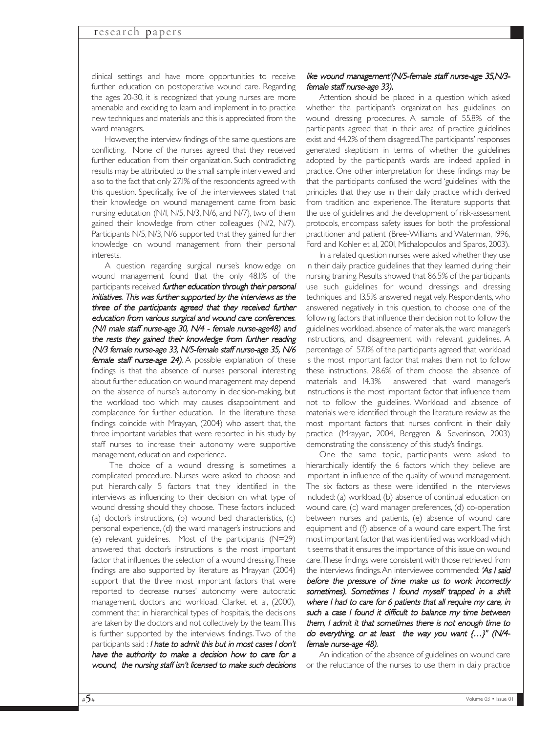clinical settings and have more opportunities to receive further education on postoperative wound care. Regarding the ages 20-30, it is recognized that young nurses are more amenable and exciding to learn and implement in to practice new techniques and materials and this is appreciated from the ward managers.

However, the interview findings of the same questions are conflicting. None of the nurses agreed that they received further education from their organization. Such contradicting results may be attributed to the small sample interviewed and also to the fact that only 27.1% of the respondents agreed with this question. Specifically, five of the interviewees stated that their knowledge on wound management came from basic nursing education (N/1, N/5, N/3, N/6, and N/7), two of them gained their knowledge from other colleagues (N/2, N/7). Participants N/5, N/3, N/6 supported that they gained further knowledge on wound management from their personal interests.

A question regarding surgical nurse's knowledge on wound management found that the only 48.1% of the participants received further education through their personal initiatives. This was further supported by the interviews as the three of the participants agreed that they received further education from various surgical and wound care conferences. (N/1 male staff nurse-age 30, N/4 - female nurse-age48) and the rests they gained their knowledge from further reading (N/3 female nurse-age 33, N/5-female staff nurse-age 35, N/6 female staff nurse-age 24). A possible explanation of these findings is that the absence of nurses personal interesting about further education on wound management may depend on the absence of nurse's autonomy in decision-making, but the workload too which may causes disappointment and complacence for further education. In the literature these findings coincide with Mrayyan, (2004) who assert that, the three important variables that were reported in his study by staff nurses to increase their autonomy were supportive management, education and experience.

The choice of a wound dressing is sometimes a complicated procedure. Nurses were asked to choose and put hierarchically 5 factors that they identified in the interviews as influencing to their decision on what type of wound dressing should they choose. These factors included: (a) doctor's instructions, (b) wound bed characteristics, (c) personal experience, (d) the ward manager's instructions and (e) relevant guidelines. Most of the participants (N=29) answered that doctor's instructions is the most important factor that influences the selection of a wound dressing.These findings are also supported by literature as Mrayyan (2004) support that the three most important factors that were reported to decrease nurses' autonomy were autocratic management, doctors and workload. Clarket et al, (2000), comment that in hierarchical types of hospitals, the decisions are taken by the doctors and not collectively by the team.This is further supported by the interviews findings. Two of the participants said : I hate to admit this but in most cases I don't have the authority to make <sup>a</sup> decision how to care for <sup>a</sup> wound, the nursing staff isn't licensed to make such decisions

#### like wound management'(N/5-female staff nurse-age 35,N/3 female staff nurse-age 33).

Attention should be placed in a question which asked whether the participant's organization has guidelines on wound dressing procedures. A sample of 55.8% of the participants agreed that in their area of practice guidelines exist and 44.2% of them disagreed.The participants' responses generated skepticism in terms of whether the guidelines adopted by the participant's wards are indeed applied in practice. One other interpretation for these findings may be that the participants confused the word 'guidelines' with the principles that they use in their daily practice which derived from tradition and experience. The literature supports that the use of guidelines and the development of risk-assessment protocols, encompass safety issues for both the professional practitioner and patient (Bree-Williams and Waterman, 1996, Ford and Kohler et al, 2001, Michalopoulos and Sparos, 2003).

In a related question nurses were asked whether they use in their daily practice guidelines that they learned during their nursing training. Results showed that 86.5% of the participants use such guidelines for wound dressings and dressing techniques and 13.5% answered negatively. Respondents, who answered negatively in this question, to choose one of the following factors that influence their decision not to follow the guidelines: workload, absence of materials, the ward manager's instructions, and disagreement with relevant guidelines. A percentage of 57.1% of the participants agreed that workload is the most important factor that makes them not to follow these instructions, 28.6% of them choose the absence of materials and 14.3% answered that ward manager's instructions is the most important factor that influence them not to follow the guidelines. Workload and absence of materials were identified through the literature review as the most important factors that nurses confront in their daily practice (Mrayyan, 2004, Berggren & Severinson, 2003) demonstrating the consistency of this study's findings.

One the same topic, participants were asked to hierarchically identify the 6 factors which they believe are important in influence of the quality of wound management. The six factors as these were identified in the interviews included: (a) workload, (b) absence of continual education on wound care, (c) ward manager preferences, (d) co-operation between nurses and patients, (e) absence of wound care equipment and (f) absence of a wound care expert.The first most important factor that was identified was workload which it seems that it ensures the importance of this issue on wound care.These findings were consistent with those retrieved from the interviews findings. An interviewee commended: 'As I said before the pressure of time make us to work incorrectly sometimes). Sometimes I found myself trapped in <sup>a</sup> shift where I had to care for 6 patients that all require my care, in such <sup>a</sup> case I found it difficult to balance my time between them, I admit it that sometimes there is not enough time to do everything, or at least the way you want {…}'' (N/4 female nurse-age 48).

An indication of the absence of guidelines on wound care or the reluctance of the nurses to use them in daily practice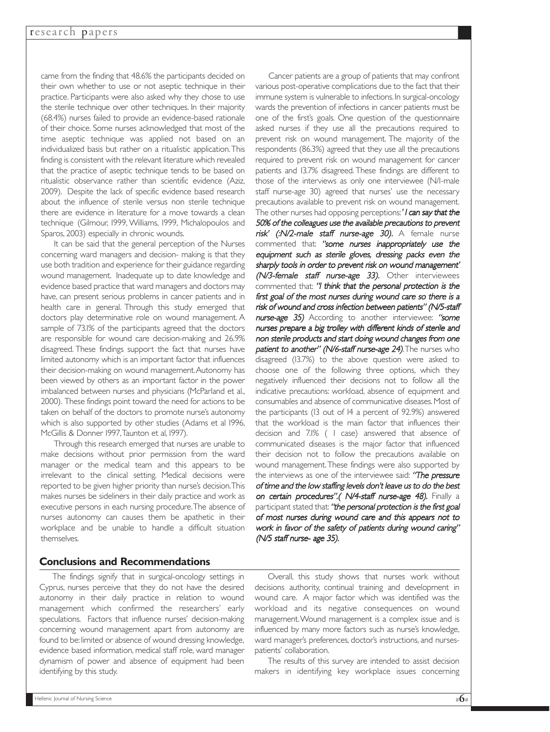came from the finding that 48.6% the participants decided on their own whether to use or not aseptic technique in their practice. Participants were also asked why they chose to use the sterile technique over other techniques. In their majority (68.4%) nurses failed to provide an evidence-based rationale of their choice. Some nurses acknowledged that most of the time aseptic technique was applied not based on an individualized basis but rather on a ritualistic application.This finding is consistent with the relevant literature which revealed that the practice of aseptic technique tends to be based on ritualistic observance rather than scientific evidence (Aziz, 2009). Despite the lack of specific evidence based research about the influence of sterile versus non sterile technique there are evidence in literature for a move towards a clean technique (Gilmour, 1999, Williams, 1999, Michalopoulos and Sparos, 2003) especially in chronic wounds.

It can be said that the general perception of the Nurses concerning ward managers and decision- making is that they use both tradition and experience for their guidance regarding wound management. Inadequate up to date knowledge and evidence based practice that ward managers and doctors may have, can present serious problems in cancer patients and in health care in general. Through this study emerged that doctors play determinative role on wound management. A sample of 73.1% of the participants agreed that the doctors are responsible for wound care decision-making and 26.9% disagreed. These findings support the fact that nurses have limited autonomy which is an important factor that influences their decision-making on wound management.Autonomy has been viewed by others as an important factor in the power imbalanced between nurses and physicians (McParland et al., 2000). These findings point toward the need for actions to be taken on behalf of the doctors to promote nurse's autonomy which is also supported by other studies (Adams et al 1996, McGillis & Donner 1997,Taunton et al, 1997).

Through this research emerged that nurses are unable to make decisions without prior permission from the ward manager or the medical team and this appears to be irrelevant to the clinical setting. Medical decisions were reported to be given higher priority than nurse's decision.This makes nurses be sideliners in their daily practice and work as executive persons in each nursing procedure.The absence of nurses autonomy can causes them be apathetic in their workplace and be unable to handle a difficult situation themselves.

### **Conclusions and Recommendations**

The findings signify that in surgical-oncology settings in Cyprus, nurses perceive that they do not have the desired autonomy in their daily practice in relation to wound management which confirmed the researchers' early speculations. Factors that influence nurses' decision-making concerning wound management apart from autonomy are found to be: limited or absence of wound dressing knowledge, evidence based information, medical staff role, ward manager dynamism of power and absence of equipment had been identifying by this study.

Cancer patients are a group of patients that may confront various post-operative complications due to the fact that their immune system is vulnerable to infections. In surgical-oncology wards the prevention of infections in cancer patients must be one of the first's goals. One question of the questionnaire asked nurses if they use all the precautions required to prevent risk on wound management. The majority of the respondents (86.3%) agreed that they use all the precautions required to prevent risk on wound management for cancer patients and 13.7% disagreed. These findings are different to those of the interviews as only one interviewee (N/1-male staff nurse-age 30) agreed that nurses' use the necessary precautions available to prevent risk on wound management. The other nurses had opposing perceptions:' I can say that the 50% of the colleagues use the available precautions to prevent risk' (:N/2-male staff nurse-age 30). A female nurse commented that: "some nurses inappropriately use the equipment such as sterile gloves, dressing packs even the sharply tools in order to prevent risk on wound management' (N/3-female staff nurse-age 33). Other interviewees commented that: "I think that the personal protection is the first goal of the most nurses during wound care so there is <sup>a</sup> risk of wound and cross infection between patients" (N/5-staff nurse-age 35) According to another interviewee: "some nurses prepare <sup>a</sup> big trolley with different kinds of sterile and non sterile products and start doing wound changes from one patient to another" (N/6-staff nurse-age 24). The nurses who disagreed (13.7%) to the above question were asked to choose one of the following three options, which they negatively influenced their decisions not to follow all the indicative precautions: workload, absence of equipment and consumables and absence of communicative diseases.Most of the participants (13 out of 14 a percent of 92.9%) answered that the workload is the main factor that influences their decision and 7.1% ( 1 case) answered that absence of communicated diseases is the major factor that influenced their decision not to follow the precautions available on wound management.These findings were also supported by the interviews as one of the interviewee said: "The pressure of time and the low staffing levels don't leave us to do the best on certain procedures".( N/4-staff nurse-age 48). Finally a participant stated that: "the personal protection is the first goal of most nurses during wound care and this appears not to work in favor of the safety of patients during wound caring" (N/5 staff nurse- age 35).

Overall, this study shows that nurses work without decisions authority, continual training and development in wound care. A major factor which was identified was the workload and its negative consequences on wound management.Wound management is a complex issue and is influenced by many more factors such as nurse's knowledge, ward manager's preferences, doctor's instructions, and nursespatients' collaboration.

The results of this survey are intended to assist decision makers in identifying key workplace issues concerning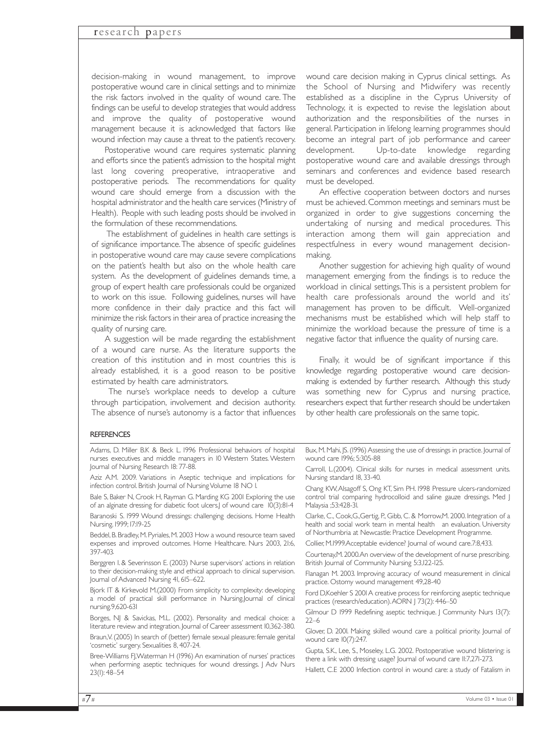decision-making in wound management, to improve postoperative wound care in clinical settings and to minimize the risk factors involved in the quality of wound care. The findings can be useful to develop strategies that would address and improve the quality of postoperative wound management because it is acknowledged that factors like wound infection may cause a threat to the patient's recovery.

Postoperative wound care requires systematic planning and efforts since the patient's admission to the hospital might last long covering preoperative, intraoperative and postoperative periods. The recommendations for quality wound care should emerge from a discussion with the hospital administrator and the health care services (Ministry of Health). People with such leading posts should be involved in the formulation of these recommendations.

The establishment of guidelines in health care settings is of significance importance.The absence of specific guidelines in postoperative wound care may cause severe complications on the patient's health but also on the whole health care system. As the development of guidelines demands time, a group of expert health care professionals could be organized to work on this issue. Following guidelines, nurses will have more confidence in their daily practice and this fact will minimize the risk factors in their area of practice increasing the quality of nursing care.

A suggestion will be made regarding the establishment of a wound care nurse. As the literature supports the creation of this institution and in most countries this is already established, it is a good reason to be positive estimated by health care administrators.

The nurse's workplace needs to develop a culture through participation, involvement and decision authority. The absence of nurse's autonomy is a factor that influences wound care decision making in Cyprus clinical settings. As the School of Nursing and Midwifery was recently established as a discipline in the Cyprus University of Technology, it is expected to revise the legislation about authorization and the responsibilities of the nurses in general. Participation in lifelong learning programmes should become an integral part of job performance and career development. Up-to-date knowledge regarding postoperative wound care and available dressings through seminars and conferences and evidence based research must be developed.

An effective cooperation between doctors and nurses must be achieved. Common meetings and seminars must be organized in order to give suggestions concerning the undertaking of nursing and medical procedures. This interaction among them will gain appreciation and respectfulness in every wound management decisionmaking.

Another suggestion for achieving high quality of wound management emerging from the findings is to reduce the workload in clinical settings.This is a persistent problem for health care professionals around the world and its' management has proven to be difficult. Well-organized mechanisms must be established which will help staff to minimize the workload because the pressure of time is a negative factor that influence the quality of nursing care.

Finally, it would be of significant importance if this knowledge regarding postoperative wound care decisionmaking is extended by further research. Although this study was something new for Cyprus and nursing practice, researchers expect that further research should be undertaken by other health care professionals on the same topic.

#### **REFERENCES**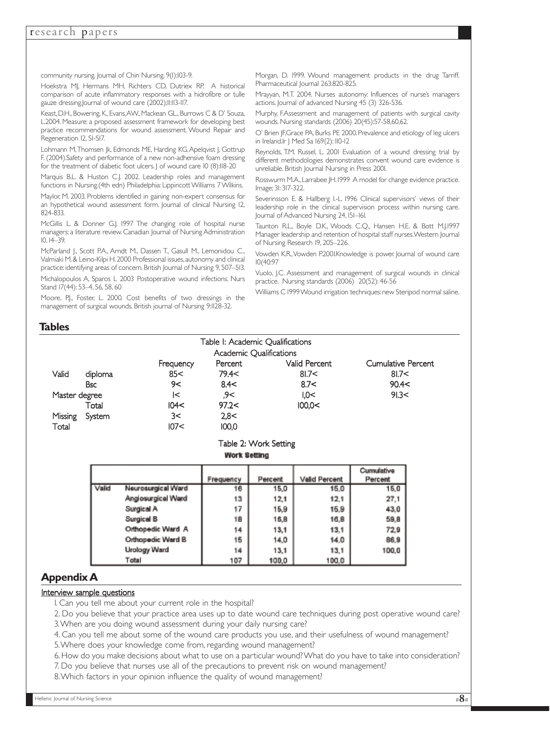community nursing. Journal of Chin Nursing. 9(1):103-9.

Hoekstra MJ, Hermans MH, Richters CD, Dutriex RP. A historical comparison of acute inflammatory responses with a hidrofibre or tulle gauze dressing.Journal of wound care (2002);11:113-117.

Keast, D.H., Bowering, K., Evans,AW., Mackean GL., Burrows C & D' Souza, L.2004. Measure: a proposed assessment framework for developing best practice recommendations for wound assessment. Wound Repair and Regeneration 12, S1-S17.

Lohmann M, Thomsen Jk, Edmonds ME, Harding KG, Apelqvist J, Gottrup F. (2004).Safety and performance of a new non-adhensive foam dressing for the treatment of diabetic foot ulcers. J of wound care IO (8):II8-20

Marquis B.L. & Huston C.J. 2002. Leadership roles and management functions in Nursing.(4th edn) Philadelphia: Lippincott Williams 7 Wilkins.

Maylor, M. 2003. Problems identified in gaining non-expert consensus for an hypothetical wound assessment form. Journal of clinical Nursing 12, 824-833.

McGillis L. & Donner G.J. 1997 The changing role of hospital nurse managers: a literature review. Canadian Journal of Nursing Administration 10, 14–39.

McParland J., Scott P.A., Arndt M., Dassen T., Gasull M., Lemonidou C., Valmiaki M. & Leino-Kilpi H. 2000 Professional issues, autonomy and clinical practice: identifying areas of concern. British Journal of Nursing 9, 507–513. Michalopoulos A, Sparos L 2003 Postoperative wound infections. Nurs

Stand 17(44): 53–4, 56, 58, 60

Moore, P.I., Foster, L. 2000. Cost benefits of two dressings in the management of surgical wounds. British journal of Nursing 9:1128-32.

Morgan, D. 1999. Wound management products in the drug Tarriff. Pharmaceutical Journal 263:820-825.

Mrayyan, M.T. 2004. Nurses autonomy: Influences of nurse's managers actions. Journal of advanced Nursing 45 (3) 326-536.

Murphy, F.Assessment and management of patients with surgical cavity wounds. Nursing standards (2006) 20(45):57-58,60,62.

O' Brien JF,Grace PA,Burks PE 2000.Prevalence and etiology of leg ulcers in Ireland.Ir J Med Sa 169(2): 110-12

Reynolds, T.M. Russel, L. 2001 Evaluation of a wound dressing trial by different methodologies demonstrates convent wound care evidence is unreliable. British Journal Nursing in Press 2001.

Rosswurm M.A.,Larrabee JH.1999 A model for change evidence practice. Image; 31: 317-322.

Severinsson E. & Hallberg I.-L. 1996 Clinical supervisors' views of their leadership role in the clinical supervision process within nursing care. Journal of Advanced Nursing 24, 151–161.

Taunton R.L., Boyle D.K., Woods C.Q., Hansen H.E. & Bott M.J.1997 Manager leadership and retention of hospital staff nurses.Western Journal of Nursing Research 19, 205–226.

Vowden K.R.,Vowden P.2001.Knowledge is power. Journal of wound care 10(40:97

Vuolo, J.C. Assessment and management of surgical wounds in clinical practice. Nursing standards (2006) 20(52): 46-56

Williams C 1999 Wound irrigation techniques: new Steripod normal saline.

### **Tables**

| Table I: Academic Oualifications |            |           |         |               |                    |  |  |  |
|----------------------------------|------------|-----------|---------|---------------|--------------------|--|--|--|
| Academic Qualifications          |            |           |         |               |                    |  |  |  |
|                                  |            | Frequency | Percent | Valid Percent | Cumulative Percent |  |  |  |
| Valid                            | diploma    | 85<       | 79.4<   | 817<          | 81.7<              |  |  |  |
|                                  | <b>Bsc</b> | 9<        | 8.4<    | 8.7<          | 90.4<              |  |  |  |
| Master degree                    |            | l<        | .9<     | 1,0<          | 91.3<              |  |  |  |
|                                  | Total      | 104<      | 97.2<   | 100.0<        |                    |  |  |  |
| Missing                          | System     | 3<        | 2,8<    |               |                    |  |  |  |
| Total                            |            | 107<      | 100,0   |               |                    |  |  |  |

#### Table 2: Work Setting **Work Setting**

|       |                     | Frequency | Percent | Valid Percent | Cumulative<br>Percent |
|-------|---------------------|-----------|---------|---------------|-----------------------|
| Valid | Neurosurgical Ward  | 16        | 15.0    | 15,0          | 15.0                  |
|       | Angiosurgical Ward  | 13        | 12.1    | 12,1          | 27.1                  |
|       | Surgical A          | 17        | 15,9    | 16.9          | 43.0                  |
|       | Surgical B          | 18        | 16,8    | 16,8          | 59.8                  |
|       | Orthopedic Ward A   | 14        | 13,1    | 13,1          | 72.9                  |
|       | Orthopedic Ward B   | 15        | 14,0    | 14.0          | 86,9                  |
|       | <b>Urology Ward</b> | 14        | 13,1    | 13.1          | 100.0                 |
|       | Total               | 107       | 100.0   | 100.0         |                       |

### **Appendix A**

#### Interview sample questions

1. Can you tell me about your current role in the hospital?

2. Do you believe that your practice area uses up to date wound care techniques during post operative wound care?

3.When are you doing wound assessment during your daily nursing care?

4. Can you tell me about some of the wound care products you use, and their usefulness of wound management?

5.Where does your knowledge come from, regarding wound management?

6. How do you make decisions about what to use on a particular wound? What do you have to take into consideration?

7. Do you believe that nurses use all of the precautions to prevent risk on wound management?

8.Which factors in your opinion influence the quality of wound management?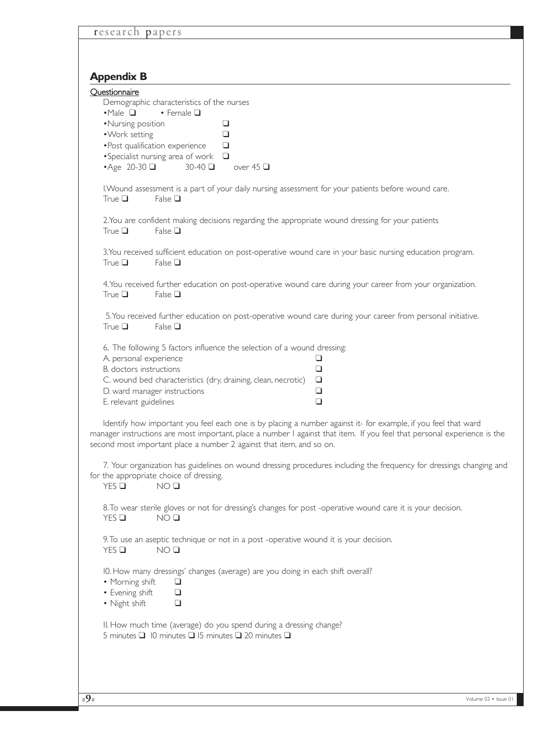# **Appendix B**

| Appenuix D                                                                                                                                                                                                                                                                                                         |  |  |  |  |  |  |
|--------------------------------------------------------------------------------------------------------------------------------------------------------------------------------------------------------------------------------------------------------------------------------------------------------------------|--|--|--|--|--|--|
| Questionnaire<br>Demographic characteristics of the nurses                                                                                                                                                                                                                                                         |  |  |  |  |  |  |
| $\cdot$ Male $\Box$<br>• Female $\square$                                                                                                                                                                                                                                                                          |  |  |  |  |  |  |
| •Nursing position<br>❏<br>• Work setting<br>❏                                                                                                                                                                                                                                                                      |  |  |  |  |  |  |
| • Post qualification experience<br>❏                                                                                                                                                                                                                                                                               |  |  |  |  |  |  |
| • Specialist nursing area of work<br>❏                                                                                                                                                                                                                                                                             |  |  |  |  |  |  |
| $\triangle$ Age 20-30<br>$30-40$ $\Box$<br>over 45 $\Box$                                                                                                                                                                                                                                                          |  |  |  |  |  |  |
| I. Wound assessment is a part of your daily nursing assessment for your patients before wound care.<br>True $\Box$<br>False $\Box$                                                                                                                                                                                 |  |  |  |  |  |  |
| 2. You are confident making decisions regarding the appropriate wound dressing for your patients<br>True $\Box$<br>False $\Box$                                                                                                                                                                                    |  |  |  |  |  |  |
| 3. You received sufficient education on post-operative wound care in your basic nursing education program.<br>False $\square$<br>True $\Box$                                                                                                                                                                       |  |  |  |  |  |  |
| 4. You received further education on post-operative wound care during your career from your organization.<br>True $\Box$<br>False $\Box$                                                                                                                                                                           |  |  |  |  |  |  |
| 5. You received further education on post-operative wound care during your career from personal initiative.<br>True $\square$<br>False $\Box$                                                                                                                                                                      |  |  |  |  |  |  |
| 6. The following 5 factors influence the selection of a wound dressing:                                                                                                                                                                                                                                            |  |  |  |  |  |  |
| A. personal experience<br>❏                                                                                                                                                                                                                                                                                        |  |  |  |  |  |  |
| B. doctors instructions<br>❏                                                                                                                                                                                                                                                                                       |  |  |  |  |  |  |
| C. wound bed characteristics (dry, draining, clean, necrotic)<br>❏<br>D. ward manager instructions<br>❏                                                                                                                                                                                                            |  |  |  |  |  |  |
| E. relevant guidelines<br>$\Box$                                                                                                                                                                                                                                                                                   |  |  |  |  |  |  |
| Identify how important you feel each one is by placing a number against it- for example, if you feel that ward<br>manager instructions are most important, place a number I against that item. If you feel that personal experience is the<br>second most important place a number 2 against that item, and so on. |  |  |  |  |  |  |
| 7. Your organization has guidelines on wound dressing procedures including the frequency for dressings changing and<br>for the appropriate choice of dressing.<br>YES<br>NO <sub>Q</sub>                                                                                                                           |  |  |  |  |  |  |
| 8. To wear sterile gloves or not for dressing's changes for post -operative wound care it is your decision.<br>YES<br>NO <sub>Q</sub>                                                                                                                                                                              |  |  |  |  |  |  |
| 9. To use an aseptic technique or not in a post -operative wound it is your decision.<br>$YES$ $\Box$<br>NO <sub>Q</sub>                                                                                                                                                                                           |  |  |  |  |  |  |
| IO. How many dressings' changes (average) are you doing in each shift overall?<br>• Morning shift<br>❏                                                                                                                                                                                                             |  |  |  |  |  |  |
| • Evening shift<br>$\Box$<br>• Night shift<br>$\Box$                                                                                                                                                                                                                                                               |  |  |  |  |  |  |
| II. How much time (average) do you spend during a dressing change?<br>5 minutes 1 10 minutes 15 minutes 1 20 minutes 1                                                                                                                                                                                             |  |  |  |  |  |  |
|                                                                                                                                                                                                                                                                                                                    |  |  |  |  |  |  |
|                                                                                                                                                                                                                                                                                                                    |  |  |  |  |  |  |
|                                                                                                                                                                                                                                                                                                                    |  |  |  |  |  |  |